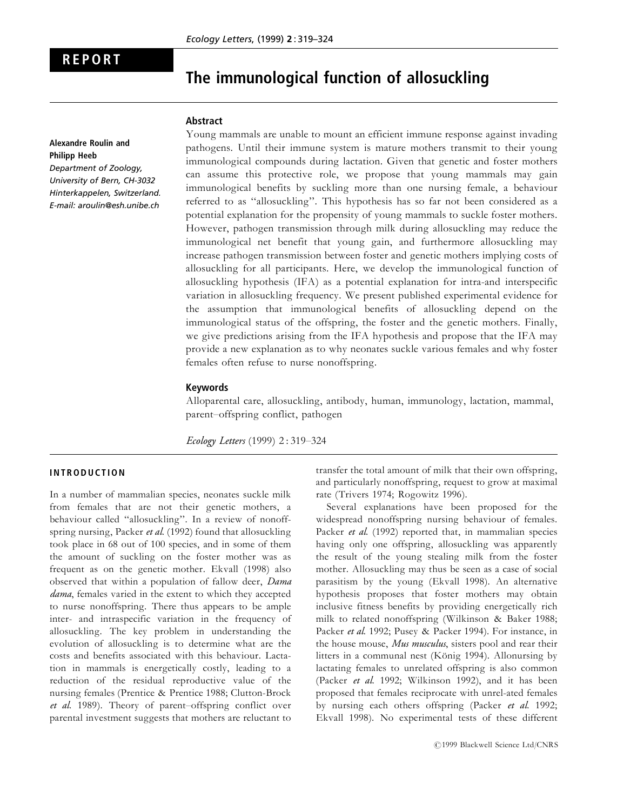# **REPORT**

**Alexandre Roulin and** 

Department of Zoology,

University of Bern, CH-3032

Hinterkappelen, Switzerland.

E-mail: aroulin@esh.unibe.ch

**Philipp Heeb** 

# The immunological function of allosuckling

### Abstract

Young mammals are unable to mount an efficient immune response against invading pathogens. Until their immune system is mature mothers transmit to their young immunological compounds during lactation. Given that genetic and foster mothers can assume this protective role, we propose that young mammals may gain immunological benefits by suckling more than one nursing female, a behaviour referred to as "allosuckling". This hypothesis has so far not been considered as a potential explanation for the propensity of young mammals to suckle foster mothers. However, pathogen transmission through milk during allosuckling may reduce the immunological net benefit that young gain, and furthermore allosuckling may increase pathogen transmission between foster and genetic mothers implying costs of allosuckling for all participants. Here, we develop the immunological function of allosuckling hypothesis (IFA) as a potential explanation for intra-and interspecific variation in allosuckling frequency. We present published experimental evidence for the assumption that immunological benefits of allosuckling depend on the immunological status of the offspring, the foster and the genetic mothers. Finally, we give predictions arising from the IFA hypothesis and propose that the IFA may provide a new explanation as to why neonates suckle various females and why foster females often refuse to nurse nonoffspring.

#### **Keywords**

Alloparental care, allosuckling, antibody, human, immunology, lactation, mammal, parent-offspring conflict, pathogen

*Ecology Letters* (1999) 2:319-324

#### **INTRODUCTION**

In a number of mammalian species, neonates suckle milk from females that are not their genetic mothers, a behaviour called "allosuckling". In a review of nonoffspring nursing, Packer et al. (1992) found that allosuckling took place in 68 out of 100 species, and in some of them the amount of suckling on the foster mother was as frequent as on the genetic mother. Ekvall (1998) also observed that within a population of fallow deer, Dama dama, females varied in the extent to which they accepted to nurse nonoffspring. There thus appears to be ample inter- and intraspecific variation in the frequency of allosuckling. The key problem in understanding the evolution of allosuckling is to determine what are the costs and benefits associated with this behaviour. Lactation in mammals is energetically costly, leading to a reduction of the residual reproductive value of the nursing females (Prentice & Prentice 1988; Clutton-Brock et al. 1989). Theory of parent-offspring conflict over parental investment suggests that mothers are reluctant to

transfer the total amount of milk that their own offspring, and particularly nonoffspring, request to grow at maximal rate (Trivers 1974; Rogowitz 1996).

Several explanations have been proposed for the widespread nonoffspring nursing behaviour of females. Packer et al. (1992) reported that, in mammalian species having only one offspring, allosuckling was apparently the result of the young stealing milk from the foster mother. Allosuckling may thus be seen as a case of social parasitism by the young (Ekvall 1998). An alternative hypothesis proposes that foster mothers may obtain inclusive fitness benefits by providing energetically rich milk to related nonoffspring (Wilkinson & Baker 1988; Packer et al. 1992; Pusey & Packer 1994). For instance, in the house mouse, Mus musculus, sisters pool and rear their litters in a communal nest (König 1994). Allonursing by lactating females to unrelated offspring is also common (Packer et al. 1992; Wilkinson 1992), and it has been proposed that females reciprocate with unrel-ated females by nursing each others offspring (Packer et al. 1992; Ekvall 1998). No experimental tests of these different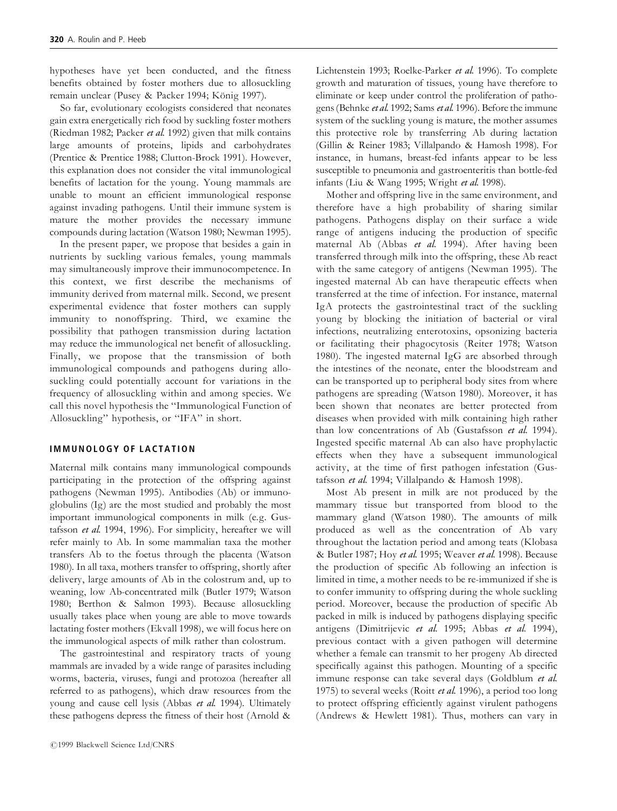hypotheses have yet been conducted, and the fitness benefits obtained by foster mothers due to allosuckling remain unclear (Pusey & Packer 1994; König 1997).

So far, evolutionary ecologists considered that neonates gain extra energetically rich food by suckling foster mothers (Riedman 1982; Packer et al. 1992) given that milk contains large amounts of proteins, lipids and carbohydrates (Prentice & Prentice 1988; Clutton-Brock 1991). However, this explanation does not consider the vital immunological benefits of lactation for the young. Young mammals are unable to mount an efficient immunological response against invading pathogens. Until their immune system is mature the mother provides the necessary immune compounds during lactation (Watson 1980; Newman 1995).

In the present paper, we propose that besides a gain in nutrients by suckling various females, young mammals may simultaneously improve their immunocompetence. In this context, we first describe the mechanisms of immunity derived from maternal milk. Second, we present experimental evidence that foster mothers can supply immunity to nonoffspring. Third, we examine the possibility that pathogen transmission during lactation may reduce the immunological net benefit of allosuckling. Finally, we propose that the transmission of both immunological compounds and pathogens during allosuckling could potentially account for variations in the frequency of allosuckling within and among species. We call this novel hypothesis the "Immunological Function of Allosuckling" hypothesis, or "IFA" in short.

## **IMMUNOLOGY OF LACTATION**

Maternal milk contains many immunological compounds participating in the protection of the offspring against pathogens (Newman 1995). Antibodies (Ab) or immunoglobulins (Ig) are the most studied and probably the most important immunological components in milk (e.g. Gustafsson et al. 1994, 1996). For simplicity, hereafter we will refer mainly to Ab. In some mammalian taxa the mother transfers Ab to the foetus through the placenta (Watson 1980). In all taxa, mothers transfer to offspring, shortly after delivery, large amounts of Ab in the colostrum and, up to weaning, low Ab-concentrated milk (Butler 1979; Watson 1980; Berthon & Salmon 1993). Because allosuckling usually takes place when young are able to move towards lactating foster mothers (Ekvall 1998), we will focus here on the immunological aspects of milk rather than colostrum.

The gastrointestinal and respiratory tracts of young mammals are invaded by a wide range of parasites including worms, bacteria, viruses, fungi and protozoa (hereafter all referred to as pathogens), which draw resources from the young and cause cell lysis (Abbas et al. 1994). Ultimately these pathogens depress the fitness of their host (Arnold &

Lichtenstein 1993; Roelke-Parker et al. 1996). To complete growth and maturation of tissues, young have therefore to eliminate or keep under control the proliferation of pathogens (Behnke et al. 1992; Sams et al. 1996). Before the immune system of the suckling young is mature, the mother assumes this protective role by transferring Ab during lactation (Gillin & Reiner 1983; Villalpando & Hamosh 1998). For instance, in humans, breast-fed infants appear to be less susceptible to pneumonia and gastroenteritis than bottle-fed infants (Liu & Wang 1995; Wright et al. 1998).

Mother and offspring live in the same environment, and therefore have a high probability of sharing similar pathogens. Pathogens display on their surface a wide range of antigens inducing the production of specific maternal Ab (Abbas et al. 1994). After having been transferred through milk into the offspring, these Ab react with the same category of antigens (Newman 1995). The ingested maternal Ab can have therapeutic effects when transferred at the time of infection. For instance, maternal IgA protects the gastrointestinal tract of the suckling young by blocking the initiation of bacterial or viral infections, neutralizing enterotoxins, opsonizing bacteria or facilitating their phagocytosis (Reiter 1978; Watson 1980). The ingested maternal IgG are absorbed through the intestines of the neonate, enter the bloodstream and can be transported up to peripheral body sites from where pathogens are spreading (Watson 1980). Moreover, it has been shown that neonates are better protected from diseases when provided with milk containing high rather than low concentrations of Ab (Gustafsson et al. 1994). Ingested specific maternal Ab can also have prophylactic effects when they have a subsequent immunological activity, at the time of first pathogen infestation (Gustafsson et al. 1994; Villalpando & Hamosh 1998).

Most Ab present in milk are not produced by the mammary tissue but transported from blood to the mammary gland (Watson 1980). The amounts of milk produced as well as the concentration of Ab vary throughout the lactation period and among teats (Klobasa & Butler 1987; Hoy et al. 1995; Weaver et al. 1998). Because the production of specific Ab following an infection is limited in time, a mother needs to be re-immunized if she is to confer immunity to offspring during the whole suckling period. Moreover, because the production of specific Ab packed in milk is induced by pathogens displaying specific antigens (Dimitrijevic et al. 1995; Abbas et al. 1994), previous contact with a given pathogen will determine whether a female can transmit to her progeny Ab directed specifically against this pathogen. Mounting of a specific immune response can take several days (Goldblum et al. 1975) to several weeks (Roitt et al. 1996), a period too long to protect offspring efficiently against virulent pathogens (Andrews & Hewlett 1981). Thus, mothers can vary in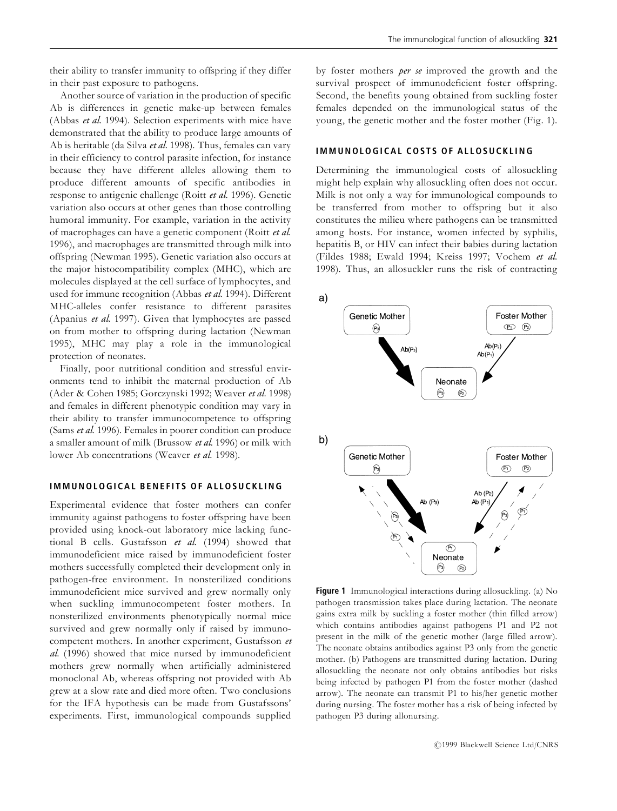their ability to transfer immunity to offspring if they differ in their past exposure to pathogens.

Another source of variation in the production of specific Ab is differences in genetic make-up between females (Abbas et al. 1994). Selection experiments with mice have demonstrated that the ability to produce large amounts of Ab is heritable (da Silva et al. 1998). Thus, females can vary in their efficiency to control parasite infection, for instance because they have different alleles allowing them to produce different amounts of specific antibodies in response to antigenic challenge (Roitt et al. 1996). Genetic variation also occurs at other genes than those controlling humoral immunity. For example, variation in the activity of macrophages can have a genetic component (Roitt et al. 1996), and macrophages are transmitted through milk into offspring (Newman 1995). Genetic variation also occurs at the major histocompatibility complex (MHC), which are molecules displayed at the cell surface of lymphocytes, and used for immune recognition (Abbas et al. 1994). Different MHC-alleles confer resistance to different parasites (Apanius et al. 1997). Given that lymphocytes are passed on from mother to offspring during lactation (Newman 1995), MHC may play a role in the immunological protection of neonates.

Finally, poor nutritional condition and stressful environments tend to inhibit the maternal production of Ab (Ader & Cohen 1985; Gorczynski 1992; Weaver et al. 1998) and females in different phenotypic condition may vary in their ability to transfer immunocompetence to offspring (Sams et al. 1996). Females in poorer condition can produce a smaller amount of milk (Brussow et al. 1996) or milk with lower Ab concentrations (Weaver et al. 1998).

# IMMUNOLOGICAL BENEFITS OF ALLOSUCKLING

Experimental evidence that foster mothers can confer immunity against pathogens to foster offspring have been provided using knock-out laboratory mice lacking functional B cells. Gustafsson et al. (1994) showed that immunodeficient mice raised by immunodeficient foster mothers successfully completed their development only in pathogen-free environment. In nonsterilized conditions immunodeficient mice survived and grew normally only when suckling immunocompetent foster mothers. In nonsterilized environments phenotypically normal mice survived and grew normally only if raised by immunocompetent mothers. In another experiment, Gustafsson et al. (1996) showed that mice nursed by immunodeficient mothers grew normally when artificially administered monoclonal Ab, whereas offspring not provided with Ab grew at a slow rate and died more often. Two conclusions for the IFA hypothesis can be made from Gustafssons' experiments. First, immunological compounds supplied

by foster mothers *per se* improved the growth and the survival prospect of immunodeficient foster offspring. Second, the benefits young obtained from suckling foster females depended on the immunological status of the young, the genetic mother and the foster mother (Fig. 1).

#### IMMUNOLOGICAL COSTS OF ALLOSUCKLING

Determining the immunological costs of allosuckling might help explain why allosuckling often does not occur. Milk is not only a way for immunological compounds to be transferred from mother to offspring but it also constitutes the milieu where pathogens can be transmitted among hosts. For instance, women infected by syphilis, hepatitis B, or HIV can infect their babies during lactation (Fildes 1988; Ewald 1994; Kreiss 1997; Vochem et al. 1998). Thus, an allosuckler runs the risk of contracting



Figure 1 Immunological interactions during allosuckling. (a) No pathogen transmission takes place during lactation. The neonate gains extra milk by suckling a foster mother (thin filled arrow) which contains antibodies against pathogens P1 and P2 not present in the milk of the genetic mother (large filled arrow). The neonate obtains antibodies against P3 only from the genetic mother. (b) Pathogens are transmitted during lactation. During allosuckling the neonate not only obtains antibodies but risks being infected by pathogen P1 from the foster mother (dashed arrow). The neonate can transmit P1 to his/her genetic mother during nursing. The foster mother has a risk of being infected by pathogen P3 during allonursing.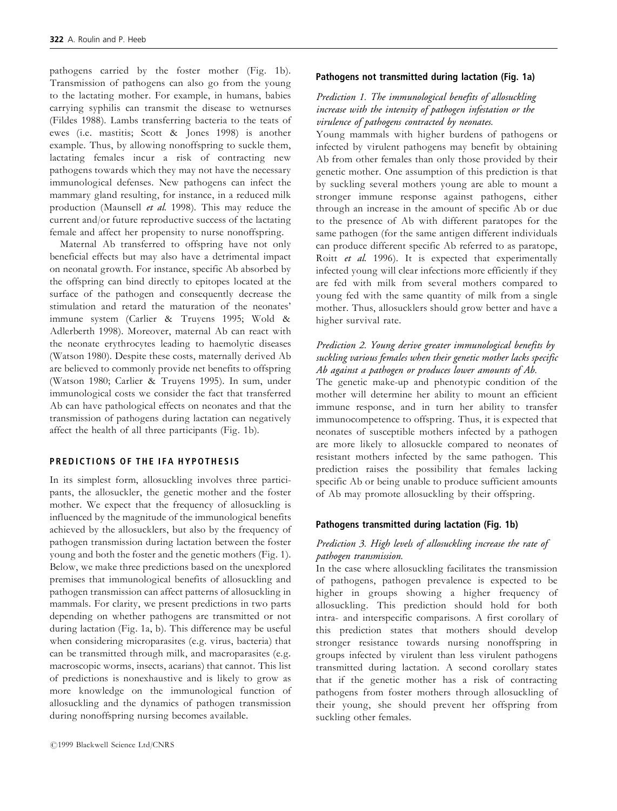pathogens carried by the foster mother (Fig. 1b). Transmission of pathogens can also go from the young to the lactating mother. For example, in humans, babies carrying syphilis can transmit the disease to wetnurses (Fildes 1988). Lambs transferring bacteria to the teats of ewes (i.e. mastitis; Scott & Jones 1998) is another example. Thus, by allowing nonoffspring to suckle them, lactating females incur a risk of contracting new pathogens towards which they may not have the necessary immunological defenses. New pathogens can infect the mammary gland resulting, for instance, in a reduced milk production (Maunsell et al. 1998). This may reduce the current and/or future reproductive success of the lactating female and affect her propensity to nurse nonoffspring.

Maternal Ab transferred to offspring have not only beneficial effects but may also have a detrimental impact on neonatal growth. For instance, specific Ab absorbed by the offspring can bind directly to epitopes located at the surface of the pathogen and consequently decrease the stimulation and retard the maturation of the neonates' immune system (Carlier & Truyens 1995; Wold & Adlerberth 1998). Moreover, maternal Ab can react with the neonate erythrocytes leading to haemolytic diseases (Watson 1980). Despite these costs, maternally derived Ab are believed to commonly provide net benefits to offspring (Watson 1980; Carlier & Truyens 1995). In sum, under immunological costs we consider the fact that transferred Ab can have pathological effects on neonates and that the transmission of pathogens during lactation can negatively affect the health of all three participants (Fig. 1b).

#### PREDICTIONS OF THE IFA HYPOTHESIS

In its simplest form, allosuckling involves three participants, the allosuckler, the genetic mother and the foster mother. We expect that the frequency of allosuckling is influenced by the magnitude of the immunological benefits achieved by the allosucklers, but also by the frequency of pathogen transmission during lactation between the foster young and both the foster and the genetic mothers (Fig. 1). Below, we make three predictions based on the unexplored premises that immunological benefits of allosuckling and pathogen transmission can affect patterns of allosuckling in mammals. For clarity, we present predictions in two parts depending on whether pathogens are transmitted or not during lactation (Fig. 1a, b). This difference may be useful when considering microparasites (e.g. virus, bacteria) that can be transmitted through milk, and macroparasites (e.g. macroscopic worms, insects, acarians) that cannot. This list of predictions is nonexhaustive and is likely to grow as more knowledge on the immunological function of allosuckling and the dynamics of pathogen transmission during nonoffspring nursing becomes available.

#### Pathogens not transmitted during lactation (Fig. 1a)

# Prediction 1. The immunological benefits of allosuckling increase with the intensity of pathogen infestation or the virulence of pathogens contracted by neonates.

Young mammals with higher burdens of pathogens or infected by virulent pathogens may benefit by obtaining Ab from other females than only those provided by their genetic mother. One assumption of this prediction is that by suckling several mothers young are able to mount a stronger immune response against pathogens, either through an increase in the amount of specific Ab or due to the presence of Ab with different paratopes for the same pathogen (for the same antigen different individuals can produce different specific Ab referred to as paratope, Roitt et al. 1996). It is expected that experimentally infected young will clear infections more efficiently if they are fed with milk from several mothers compared to young fed with the same quantity of milk from a single mother. Thus, allosucklers should grow better and have a higher survival rate.

# Prediction 2. Young derive greater immunological benefits by suckling various females when their genetic mother lacks specific Ab against a pathogen or produces lower amounts of Ab.

The genetic make-up and phenotypic condition of the mother will determine her ability to mount an efficient immune response, and in turn her ability to transfer immunocompetence to offspring. Thus, it is expected that neonates of susceptible mothers infected by a pathogen are more likely to allosuckle compared to neonates of resistant mothers infected by the same pathogen. This prediction raises the possibility that females lacking specific Ab or being unable to produce sufficient amounts of Ab may promote allosuckling by their offspring.

#### Pathogens transmitted during lactation (Fig. 1b)

# Prediction 3. High levels of allosuckling increase the rate of pathogen transmission.

In the case where allosuckling facilitates the transmission of pathogens, pathogen prevalence is expected to be higher in groups showing a higher frequency of allosuckling. This prediction should hold for both intra- and interspecific comparisons. A first corollary of this prediction states that mothers should develop stronger resistance towards nursing nonoffspring in groups infected by virulent than less virulent pathogens transmitted during lactation. A second corollary states that if the genetic mother has a risk of contracting pathogens from foster mothers through allosuckling of their young, she should prevent her offspring from suckling other females.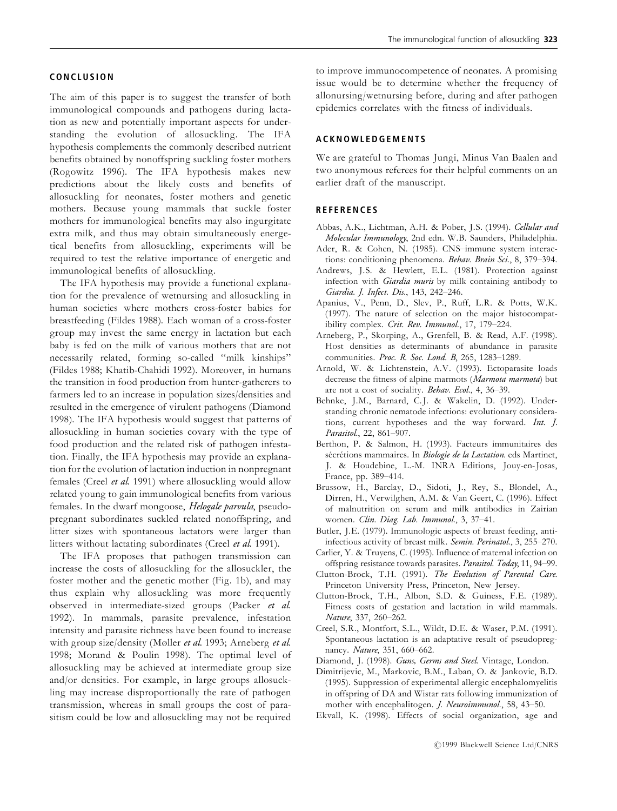#### CONCLUSION

The aim of this paper is to suggest the transfer of both immunological compounds and pathogens during lactation as new and potentially important aspects for understanding the evolution of allosuckling. The IFA hypothesis complements the commonly described nutrient benefits obtained by nonoffspring suckling foster mothers (Rogowitz 1996). The IFA hypothesis makes new predictions about the likely costs and benefits of allosuckling for neonates, foster mothers and genetic mothers. Because young mammals that suckle foster mothers for immunological benefits may also ingurgitate extra milk, and thus may obtain simultaneously energetical benefits from allosuckling, experiments will be required to test the relative importance of energetic and immunological benefits of allosuckling.

The IFA hypothesis may provide a functional explanation for the prevalence of wetnursing and allosuckling in human societies where mothers cross-foster babies for breastfeeding (Fildes 1988). Each woman of a cross-foster group may invest the same energy in lactation but each baby is fed on the milk of various mothers that are not necessarily related, forming so-called "milk kinships" (Fildes 1988; Khatib-Chahidi 1992). Moreover, in humans the transition in food production from hunter-gatherers to farmers led to an increase in population sizes/densities and resulted in the emergence of virulent pathogens (Diamond 1998). The IFA hypothesis would suggest that patterns of allosuckling in human societies covary with the type of food production and the related risk of pathogen infestation. Finally, the IFA hypothesis may provide an explanation for the evolution of lactation induction in nonpregnant females (Creel et al. 1991) where allosuckling would allow related young to gain immunological benefits from various females. In the dwarf mongoose, Helogale parvula, pseudopregnant subordinates suckled related nonoffspring, and litter sizes with spontaneous lactators were larger than litters without lactating subordinates (Creel et al. 1991).

The IFA proposes that pathogen transmission can increase the costs of allosuckling for the allosuckler, the foster mother and the genetic mother (Fig. 1b), and may thus explain why allosuckling was more frequently observed in intermediate-sized groups (Packer et al. 1992). In mammals, parasite prevalence, infestation intensity and parasite richness have been found to increase with group size/density (Møller et al. 1993; Arneberg et al. 1998; Morand & Poulin 1998). The optimal level of allosuckling may be achieved at intermediate group size and/or densities. For example, in large groups allosuckling may increase disproportionally the rate of pathogen transmission, whereas in small groups the cost of parasitism could be low and allosuckling may not be required

to improve immunocompetence of neonates. A promising issue would be to determine whether the frequency of allonursing/wetnursing before, during and after pathogen epidemics correlates with the fitness of individuals.

### **ACKNOWLEDGEMENTS**

We are grateful to Thomas Jungi, Minus Van Baalen and two anonymous referees for their helpful comments on an earlier draft of the manuscript.

#### **REFERENCES**

- Abbas, A.K., Lichtman, A.H. & Pober, J.S. (1994). Cellular and Molecular Immunology, 2nd edn. W.B. Saunders, Philadelphia.
- Ader, R. & Cohen, N. (1985). CNS-immune system interactions: conditioning phenomena. Behav. Brain Sci., 8, 379–394.
- Andrews, J.S. & Hewlett, E.L. (1981). Protection against infection with Giardia muris by milk containing antibody to Giardia. J. Infect. Dis., 143, 242-246.
- Apanius, V., Penn, D., Slev, P., Ruff, L.R. & Potts, W.K. (1997). The nature of selection on the major histocompatibility complex. Crit. Rev. Immunol., 17, 179-224.
- Arneberg, P., Skorping, A., Grenfell, B. & Read, A.F. (1998). Host densities as determinants of abundance in parasite communities. Proc. R. Soc. Lond. B, 265, 1283-1289.
- Arnold, W. & Lichtenstein, A.V. (1993). Ectoparasite loads decrease the fitness of alpine marmots (Marmota marmota) but are not a cost of sociality. Behav. Ecol., 4, 36-39.
- Behnke, J.M., Barnard, C.J. & Wakelin, D. (1992). Understanding chronic nematode infections: evolutionary considerations, current hypotheses and the way forward. Int. J. Parasitol., 22, 861-907.
- Berthon, P. & Salmon, H. (1993). Facteurs immunitaires des sécrétions mammaires. In Biologie de la Lactation. eds Martinet, J. & Houdebine, L.-M. INRA Editions, Jouy-en-Josas, France, pp. 389-414.
- Brussow, H., Barclay, D., Sidoti, J., Rey, S., Blondel, A., Dirren, H., Verwilghen, A.M. & Van Geert, C. (1996). Effect of malnutrition on serum and milk antibodies in Zairian women. Clin. Diag. Lab. Immunol., 3, 37-41.
- Butler, J.E. (1979). Immunologic aspects of breast feeding, antiinfectious activity of breast milk. Semin. Perinatol., 3, 255-270.
- Carlier, Y. & Truyens, C. (1995). Influence of maternal infection on offspring resistance towards parasites. Parasitol. Today, 11, 94-99.
- Clutton-Brock, T.H. (1991). The Evolution of Parental Care. Princeton University Press, Princeton, New Jersey.
- Clutton-Brock, T.H., Albon, S.D. & Guiness, F.E. (1989). Fitness costs of gestation and lactation in wild mammals. Nature, 337, 260-262.
- Creel, S.R., Montfort, S.L., Wildt, D.E. & Waser, P.M. (1991). Spontaneous lactation is an adaptative result of pseudopregnancy. Nature, 351, 660-662.
- Diamond, J. (1998). Guns, Germs and Steel. Vintage, London.
- Dimitrijevic, M., Markovic, B.M., Laban, O. & Jankovic, B.D. (1995). Suppression of experimental allergic encephalomyelitis in offspring of DA and Wistar rats following immunization of mother with encephalitogen. *J. Neuroimmunol.*, 58, 43-50.
- Ekvall, K. (1998). Effects of social organization, age and